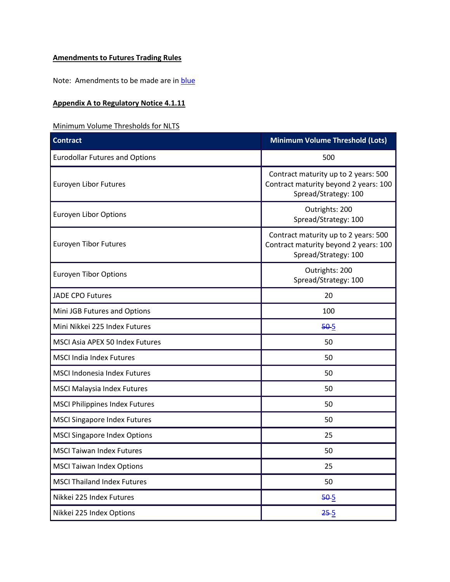## **Amendments to Futures Trading Rules**

Note: Amendments to be made are in **blue** 

## **Appendix A to Regulatory Notice 4.1.11**

## Minimum Volume Thresholds for NLTS

| <b>Contract</b>                       | <b>Minimum Volume Threshold (Lots)</b>                                                                |
|---------------------------------------|-------------------------------------------------------------------------------------------------------|
| <b>Eurodollar Futures and Options</b> | 500                                                                                                   |
| Euroyen Libor Futures                 | Contract maturity up to 2 years: 500<br>Contract maturity beyond 2 years: 100<br>Spread/Strategy: 100 |
| <b>Euroyen Libor Options</b>          | Outrights: 200<br>Spread/Strategy: 100                                                                |
| <b>Euroyen Tibor Futures</b>          | Contract maturity up to 2 years: 500<br>Contract maturity beyond 2 years: 100<br>Spread/Strategy: 100 |
| <b>Euroyen Tibor Options</b>          | Outrights: 200<br>Spread/Strategy: 100                                                                |
| <b>JADE CPO Futures</b>               | 20                                                                                                    |
| Mini JGB Futures and Options          | 100                                                                                                   |
| Mini Nikkei 225 Index Futures         | 505                                                                                                   |
| MSCI Asia APEX 50 Index Futures       | 50                                                                                                    |
| <b>MSCI India Index Futures</b>       | 50                                                                                                    |
| <b>MSCI Indonesia Index Futures</b>   | 50                                                                                                    |
| <b>MSCI Malaysia Index Futures</b>    | 50                                                                                                    |
| <b>MSCI Philippines Index Futures</b> | 50                                                                                                    |
| <b>MSCI Singapore Index Futures</b>   | 50                                                                                                    |
| <b>MSCI Singapore Index Options</b>   | 25                                                                                                    |
| <b>MSCI Taiwan Index Futures</b>      | 50                                                                                                    |
| <b>MSCI Taiwan Index Options</b>      | 25                                                                                                    |
| <b>MSCI Thailand Index Futures</b>    | 50                                                                                                    |
| Nikkei 225 Index Futures              | $50-5$                                                                                                |
| Nikkei 225 Index Options              | $25 - 5$                                                                                              |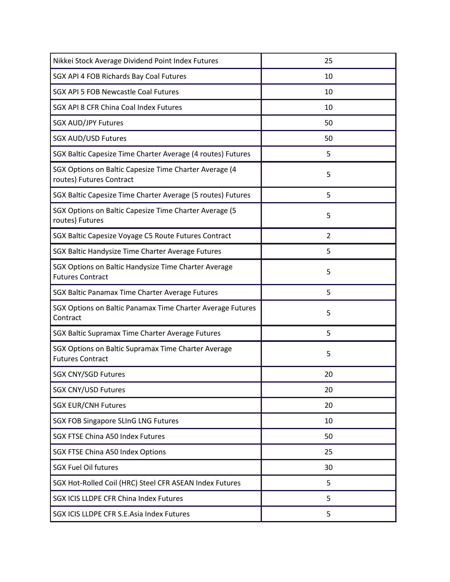| Nikkei Stock Average Dividend Point Index Futures                                  | 25 |
|------------------------------------------------------------------------------------|----|
| SGX API 4 FOB Richards Bay Coal Futures                                            | 10 |
| SGX API 5 FOB Newcastle Coal Futures                                               | 10 |
| SGX API 8 CFR China Coal Index Futures                                             | 10 |
| <b>SGX AUD/JPY Futures</b>                                                         | 50 |
| <b>SGX AUD/USD Futures</b>                                                         | 50 |
| SGX Baltic Capesize Time Charter Average (4 routes) Futures                        | 5  |
| SGX Options on Baltic Capesize Time Charter Average (4<br>routes) Futures Contract | 5  |
| SGX Baltic Capesize Time Charter Average (5 routes) Futures                        | 5  |
| SGX Options on Baltic Capesize Time Charter Average (5<br>routes) Futures          | 5  |
| SGX Baltic Capesize Voyage C5 Route Futures Contract                               | 2  |
| SGX Baltic Handysize Time Charter Average Futures                                  | 5  |
| SGX Options on Baltic Handysize Time Charter Average<br><b>Futures Contract</b>    | 5  |
| SGX Baltic Panamax Time Charter Average Futures                                    | 5  |
| SGX Options on Baltic Panamax Time Charter Average Futures<br>Contract             | 5  |
| SGX Baltic Supramax Time Charter Average Futures                                   | 5  |
| SGX Options on Baltic Supramax Time Charter Average<br><b>Futures Contract</b>     | 5  |
| <b>SGX CNY/SGD Futures</b>                                                         | 20 |
| <b>SGX CNY/USD Futures</b>                                                         | 20 |
| <b>SGX EUR/CNH Futures</b>                                                         | 20 |
| <b>SGX FOB Singapore SLInG LNG Futures</b>                                         | 10 |
| <b>SGX FTSE China A50 Index Futures</b>                                            | 50 |
| SGX FTSE China A50 Index Options                                                   | 25 |
| <b>SGX Fuel Oil futures</b>                                                        | 30 |
| SGX Hot-Rolled Coil (HRC) Steel CFR ASEAN Index Futures                            | 5  |
| SGX ICIS LLDPE CFR China Index Futures                                             | 5  |
| SGX ICIS LLDPE CFR S.E.Asia Index Futures                                          | 5  |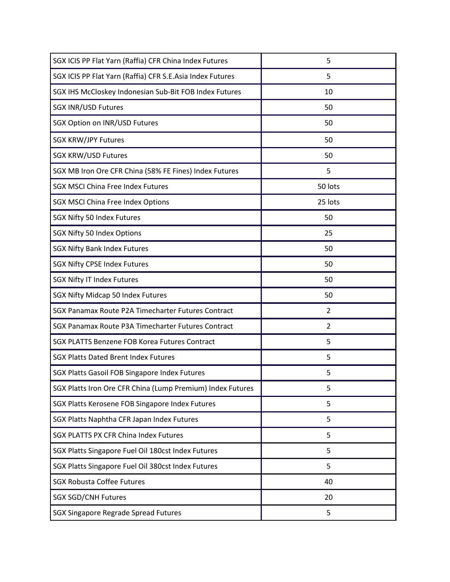| SGX ICIS PP Flat Yarn (Raffia) CFR China Index Futures     | 5       |
|------------------------------------------------------------|---------|
| SGX ICIS PP Flat Yarn (Raffia) CFR S.E.Asia Index Futures  | 5       |
| SGX IHS McCloskey Indonesian Sub-Bit FOB Index Futures     | 10      |
| <b>SGX INR/USD Futures</b>                                 | 50      |
| SGX Option on INR/USD Futures                              | 50      |
| <b>SGX KRW/JPY Futures</b>                                 | 50      |
| <b>SGX KRW/USD Futures</b>                                 | 50      |
| SGX MB Iron Ore CFR China (58% FE Fines) Index Futures     | 5       |
| <b>SGX MSCI China Free Index Futures</b>                   | 50 lots |
| <b>SGX MSCI China Free Index Options</b>                   | 25 lots |
| SGX Nifty 50 Index Futures                                 | 50      |
| SGX Nifty 50 Index Options                                 | 25      |
| <b>SGX Nifty Bank Index Futures</b>                        | 50      |
| <b>SGX Nifty CPSE Index Futures</b>                        | 50      |
| <b>SGX Nifty IT Index Futures</b>                          | 50      |
| SGX Nifty Midcap 50 Index Futures                          | 50      |
| SGX Panamax Route P2A Timecharter Futures Contract         | 2       |
| SGX Panamax Route P3A Timecharter Futures Contract         | 2       |
| SGX PLATTS Benzene FOB Korea Futures Contract              | 5       |
| <b>SGX Platts Dated Brent Index Futures</b>                | 5       |
| SGX Platts Gasoil FOB Singapore Index Futures              | 5       |
| SGX Platts Iron Ore CFR China (Lump Premium) Index Futures | 5       |
| SGX Platts Kerosene FOB Singapore Index Futures            | 5       |
| SGX Platts Naphtha CFR Japan Index Futures                 | 5       |
| <b>SGX PLATTS PX CFR China Index Futures</b>               | 5       |
| SGX Platts Singapore Fuel Oil 180cst Index Futures         | 5       |
| SGX Platts Singapore Fuel Oil 380cst Index Futures         | 5       |
| <b>SGX Robusta Coffee Futures</b>                          | 40      |
| <b>SGX SGD/CNH Futures</b>                                 | 20      |
| SGX Singapore Regrade Spread Futures                       | 5       |